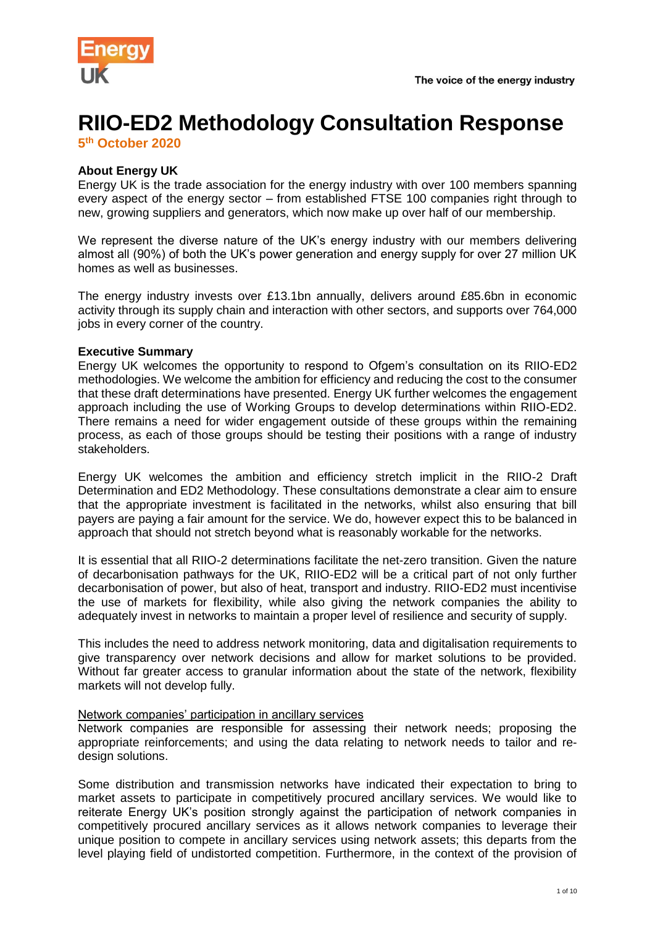

# **RIIO-ED2 Methodology Consultation Response**

**5 th October 2020**

## **About Energy UK**

Energy UK is the trade association for the energy industry with over 100 members spanning every aspect of the energy sector – from established FTSE 100 companies right through to new, growing suppliers and generators, which now make up over half of our membership.

We represent the diverse nature of the UK's energy industry with our members delivering almost all (90%) of both the UK's power generation and energy supply for over 27 million UK homes as well as businesses.

The energy industry invests over £13.1bn annually, delivers around £85.6bn in economic activity through its supply chain and interaction with other sectors, and supports over 764,000 jobs in every corner of the country.

#### **Executive Summary**

Energy UK welcomes the opportunity to respond to Ofgem's consultation on its RIIO-ED2 methodologies. We welcome the ambition for efficiency and reducing the cost to the consumer that these draft determinations have presented. Energy UK further welcomes the engagement approach including the use of Working Groups to develop determinations within RIIO-ED2. There remains a need for wider engagement outside of these groups within the remaining process, as each of those groups should be testing their positions with a range of industry stakeholders.

Energy UK welcomes the ambition and efficiency stretch implicit in the RIIO-2 Draft Determination and ED2 Methodology. These consultations demonstrate a clear aim to ensure that the appropriate investment is facilitated in the networks, whilst also ensuring that bill payers are paying a fair amount for the service. We do, however expect this to be balanced in approach that should not stretch beyond what is reasonably workable for the networks.

It is essential that all RIIO-2 determinations facilitate the net-zero transition. Given the nature of decarbonisation pathways for the UK, RIIO-ED2 will be a critical part of not only further decarbonisation of power, but also of heat, transport and industry. RIIO-ED2 must incentivise the use of markets for flexibility, while also giving the network companies the ability to adequately invest in networks to maintain a proper level of resilience and security of supply.

This includes the need to address network monitoring, data and digitalisation requirements to give transparency over network decisions and allow for market solutions to be provided. Without far greater access to granular information about the state of the network, flexibility markets will not develop fully.

#### Network companies' participation in ancillary services

Network companies are responsible for assessing their network needs; proposing the appropriate reinforcements; and using the data relating to network needs to tailor and redesign solutions.

Some distribution and transmission networks have indicated their expectation to bring to market assets to participate in competitively procured ancillary services. We would like to reiterate Energy UK's position strongly against the participation of network companies in competitively procured ancillary services as it allows network companies to leverage their unique position to compete in ancillary services using network assets; this departs from the level playing field of undistorted competition. Furthermore, in the context of the provision of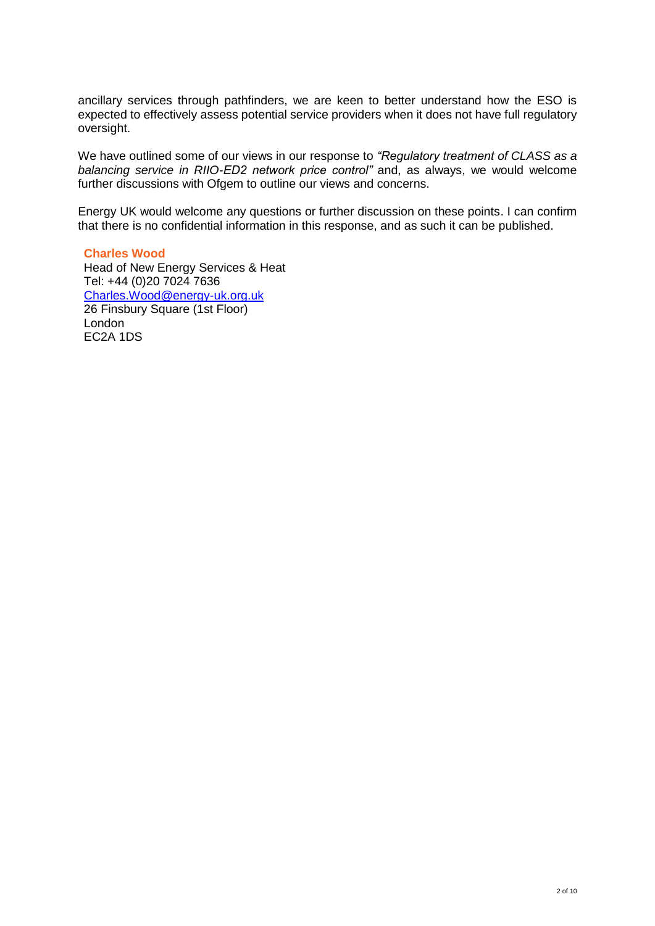ancillary services through pathfinders, we are keen to better understand how the ESO is expected to effectively assess potential service providers when it does not have full regulatory oversight.

We have outlined some of our views in our response to *"Regulatory treatment of CLASS as a balancing service in RIIO-ED2 network price control"* and, as always, we would welcome further discussions with Ofgem to outline our views and concerns.

Energy UK would welcome any questions or further discussion on these points. I can confirm that there is no confidential information in this response, and as such it can be published.

**Charles Wood** Head of New Energy Services & Heat Tel: +44 (0)20 7024 7636 [Charles.Wood@energy-uk.org.uk](mailto:Charles.Wood@energy-uk.org.uk) 26 Finsbury Square (1st Floor) London EC2A 1DS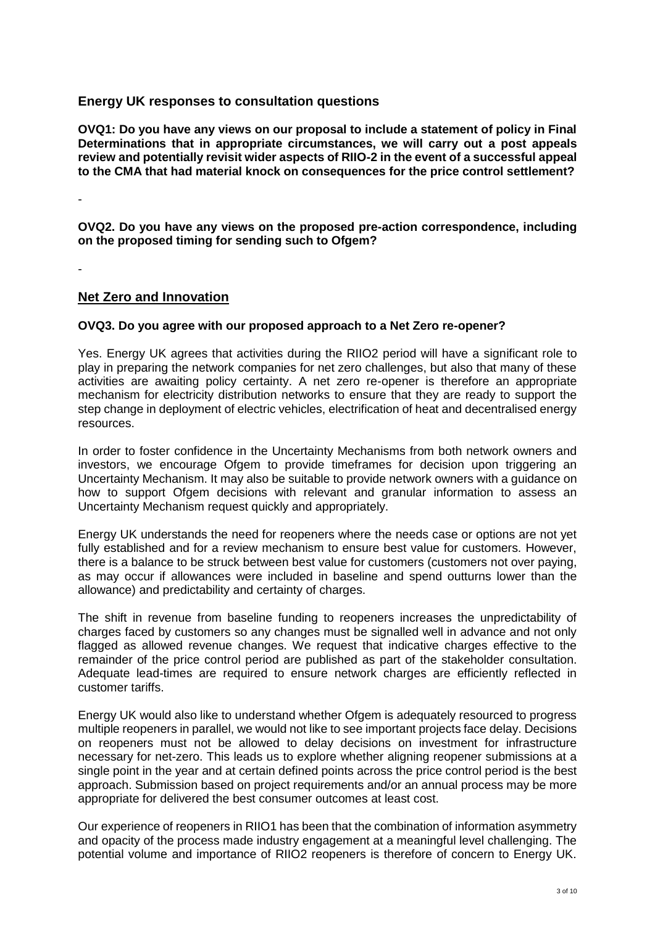# **Energy UK responses to consultation questions**

**OVQ1: Do you have any views on our proposal to include a statement of policy in Final Determinations that in appropriate circumstances, we will carry out a post appeals review and potentially revisit wider aspects of RIIO-2 in the event of a successful appeal to the CMA that had material knock on consequences for the price control settlement?**

-

**OVQ2. Do you have any views on the proposed pre-action correspondence, including on the proposed timing for sending such to Ofgem?**

-

## **Net Zero and Innovation**

## **OVQ3. Do you agree with our proposed approach to a Net Zero re-opener?**

Yes. Energy UK agrees that activities during the RIIO2 period will have a significant role to play in preparing the network companies for net zero challenges, but also that many of these activities are awaiting policy certainty. A net zero re-opener is therefore an appropriate mechanism for electricity distribution networks to ensure that they are ready to support the step change in deployment of electric vehicles, electrification of heat and decentralised energy resources.

In order to foster confidence in the Uncertainty Mechanisms from both network owners and investors, we encourage Ofgem to provide timeframes for decision upon triggering an Uncertainty Mechanism. It may also be suitable to provide network owners with a guidance on how to support Ofgem decisions with relevant and granular information to assess an Uncertainty Mechanism request quickly and appropriately.

Energy UK understands the need for reopeners where the needs case or options are not yet fully established and for a review mechanism to ensure best value for customers. However, there is a balance to be struck between best value for customers (customers not over paying, as may occur if allowances were included in baseline and spend outturns lower than the allowance) and predictability and certainty of charges.

The shift in revenue from baseline funding to reopeners increases the unpredictability of charges faced by customers so any changes must be signalled well in advance and not only flagged as allowed revenue changes. We request that indicative charges effective to the remainder of the price control period are published as part of the stakeholder consultation. Adequate lead-times are required to ensure network charges are efficiently reflected in customer tariffs.

Energy UK would also like to understand whether Ofgem is adequately resourced to progress multiple reopeners in parallel, we would not like to see important projects face delay. Decisions on reopeners must not be allowed to delay decisions on investment for infrastructure necessary for net-zero. This leads us to explore whether aligning reopener submissions at a single point in the year and at certain defined points across the price control period is the best approach. Submission based on project requirements and/or an annual process may be more appropriate for delivered the best consumer outcomes at least cost.

Our experience of reopeners in RIIO1 has been that the combination of information asymmetry and opacity of the process made industry engagement at a meaningful level challenging. The potential volume and importance of RIIO2 reopeners is therefore of concern to Energy UK.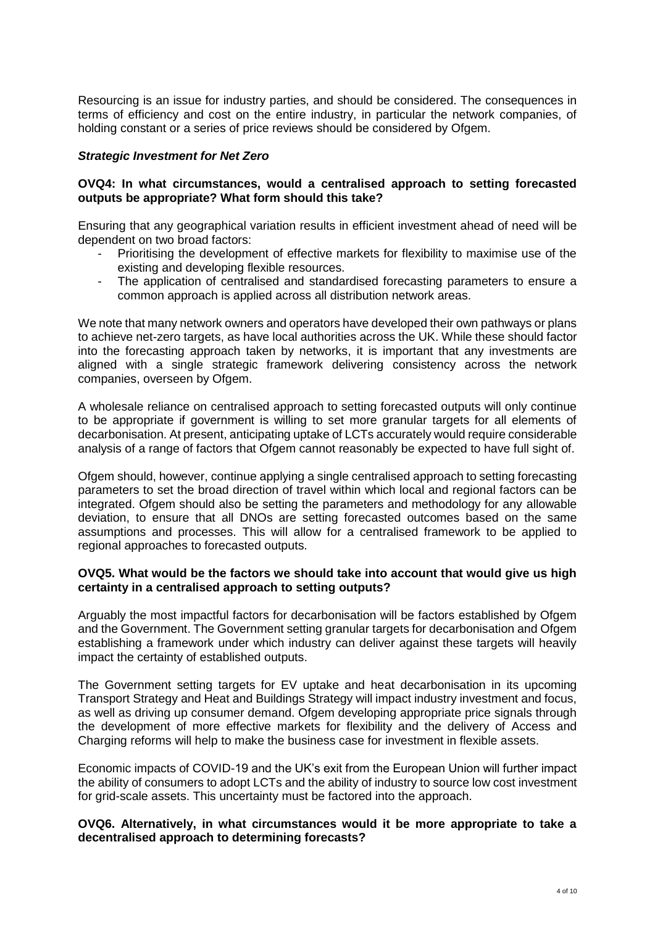Resourcing is an issue for industry parties, and should be considered. The consequences in terms of efficiency and cost on the entire industry, in particular the network companies, of holding constant or a series of price reviews should be considered by Ofgem.

## *Strategic Investment for Net Zero*

## **OVQ4: In what circumstances, would a centralised approach to setting forecasted outputs be appropriate? What form should this take?**

Ensuring that any geographical variation results in efficient investment ahead of need will be dependent on two broad factors:

- Prioritising the development of effective markets for flexibility to maximise use of the existing and developing flexible resources.
- The application of centralised and standardised forecasting parameters to ensure a common approach is applied across all distribution network areas.

We note that many network owners and operators have developed their own pathways or plans to achieve net-zero targets, as have local authorities across the UK. While these should factor into the forecasting approach taken by networks, it is important that any investments are aligned with a single strategic framework delivering consistency across the network companies, overseen by Ofgem.

A wholesale reliance on centralised approach to setting forecasted outputs will only continue to be appropriate if government is willing to set more granular targets for all elements of decarbonisation. At present, anticipating uptake of LCTs accurately would require considerable analysis of a range of factors that Ofgem cannot reasonably be expected to have full sight of.

Ofgem should, however, continue applying a single centralised approach to setting forecasting parameters to set the broad direction of travel within which local and regional factors can be integrated. Ofgem should also be setting the parameters and methodology for any allowable deviation, to ensure that all DNOs are setting forecasted outcomes based on the same assumptions and processes. This will allow for a centralised framework to be applied to regional approaches to forecasted outputs.

#### **OVQ5. What would be the factors we should take into account that would give us high certainty in a centralised approach to setting outputs?**

Arguably the most impactful factors for decarbonisation will be factors established by Ofgem and the Government. The Government setting granular targets for decarbonisation and Ofgem establishing a framework under which industry can deliver against these targets will heavily impact the certainty of established outputs.

The Government setting targets for EV uptake and heat decarbonisation in its upcoming Transport Strategy and Heat and Buildings Strategy will impact industry investment and focus, as well as driving up consumer demand. Ofgem developing appropriate price signals through the development of more effective markets for flexibility and the delivery of Access and Charging reforms will help to make the business case for investment in flexible assets.

Economic impacts of COVID-19 and the UK's exit from the European Union will further impact the ability of consumers to adopt LCTs and the ability of industry to source low cost investment for grid-scale assets. This uncertainty must be factored into the approach.

## **OVQ6. Alternatively, in what circumstances would it be more appropriate to take a decentralised approach to determining forecasts?**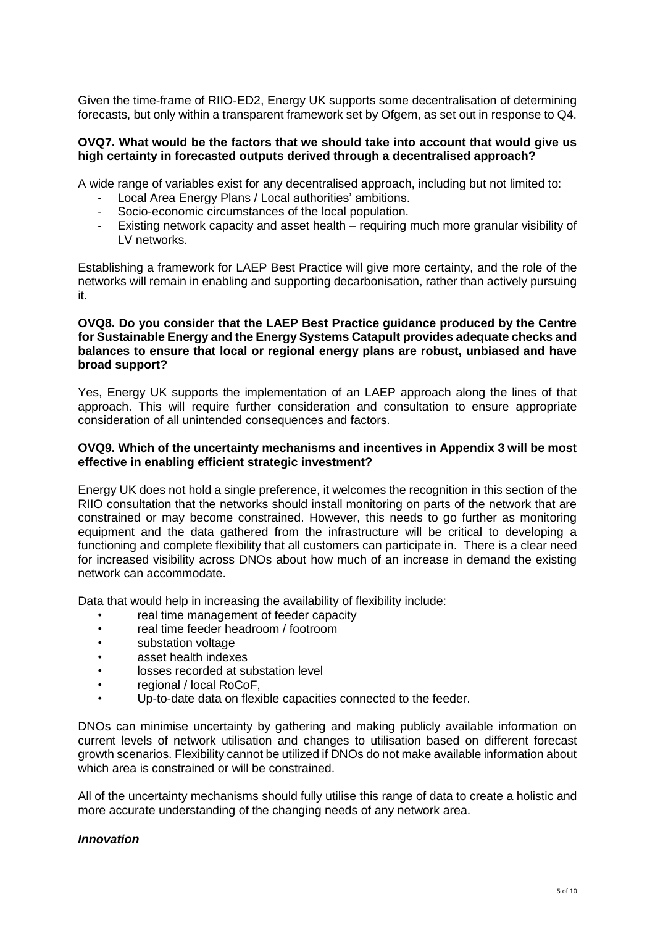Given the time-frame of RIIO-ED2, Energy UK supports some decentralisation of determining forecasts, but only within a transparent framework set by Ofgem, as set out in response to Q4.

#### **OVQ7. What would be the factors that we should take into account that would give us high certainty in forecasted outputs derived through a decentralised approach?**

A wide range of variables exist for any decentralised approach, including but not limited to:

- Local Area Energy Plans / Local authorities' ambitions.
- Socio-economic circumstances of the local population.
- Existing network capacity and asset health requiring much more granular visibility of LV networks.

Establishing a framework for LAEP Best Practice will give more certainty, and the role of the networks will remain in enabling and supporting decarbonisation, rather than actively pursuing it.

## **OVQ8. Do you consider that the LAEP Best Practice guidance produced by the Centre for Sustainable Energy and the Energy Systems Catapult provides adequate checks and balances to ensure that local or regional energy plans are robust, unbiased and have broad support?**

Yes, Energy UK supports the implementation of an LAEP approach along the lines of that approach. This will require further consideration and consultation to ensure appropriate consideration of all unintended consequences and factors.

## **OVQ9. Which of the uncertainty mechanisms and incentives in Appendix 3 will be most effective in enabling efficient strategic investment?**

Energy UK does not hold a single preference, it welcomes the recognition in this section of the RIIO consultation that the networks should install monitoring on parts of the network that are constrained or may become constrained. However, this needs to go further as monitoring equipment and the data gathered from the infrastructure will be critical to developing a functioning and complete flexibility that all customers can participate in. There is a clear need for increased visibility across DNOs about how much of an increase in demand the existing network can accommodate.

Data that would help in increasing the availability of flexibility include:

- real time management of feeder capacity
- real time feeder headroom / footroom
- substation voltage
- asset health indexes
- losses recorded at substation level
- regional / local RoCoF,
- Up-to-date data on flexible capacities connected to the feeder.

DNOs can minimise uncertainty by gathering and making publicly available information on current levels of network utilisation and changes to utilisation based on different forecast growth scenarios. Flexibility cannot be utilized if DNOs do not make available information about which area is constrained or will be constrained.

All of the uncertainty mechanisms should fully utilise this range of data to create a holistic and more accurate understanding of the changing needs of any network area.

#### *Innovation*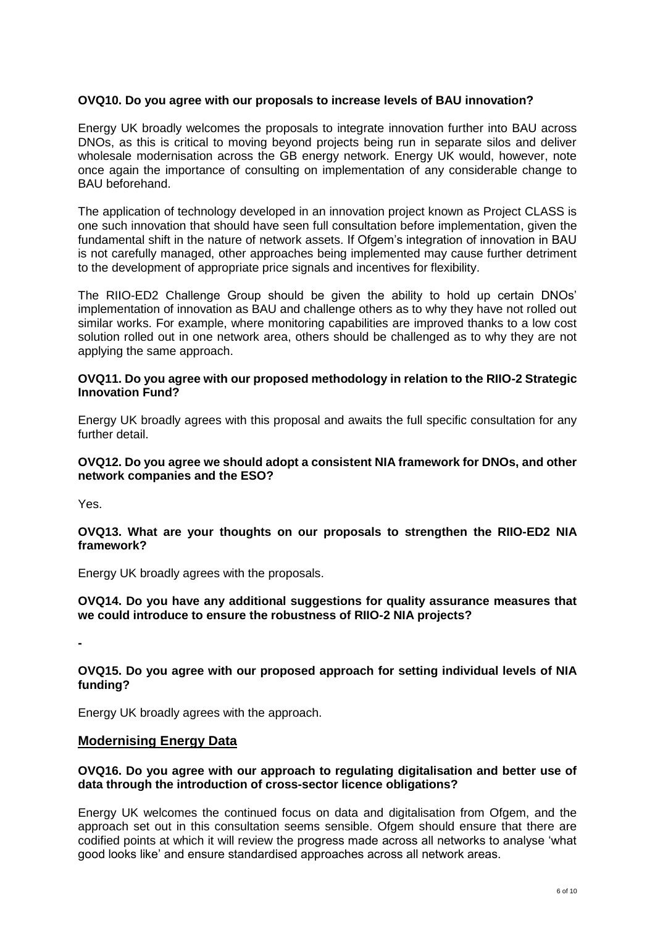## **OVQ10. Do you agree with our proposals to increase levels of BAU innovation?**

Energy UK broadly welcomes the proposals to integrate innovation further into BAU across DNOs, as this is critical to moving beyond projects being run in separate silos and deliver wholesale modernisation across the GB energy network. Energy UK would, however, note once again the importance of consulting on implementation of any considerable change to BAU beforehand.

The application of technology developed in an innovation project known as Project CLASS is one such innovation that should have seen full consultation before implementation, given the fundamental shift in the nature of network assets. If Ofgem's integration of innovation in BAU is not carefully managed, other approaches being implemented may cause further detriment to the development of appropriate price signals and incentives for flexibility.

The RIIO-ED2 Challenge Group should be given the ability to hold up certain DNOs' implementation of innovation as BAU and challenge others as to why they have not rolled out similar works. For example, where monitoring capabilities are improved thanks to a low cost solution rolled out in one network area, others should be challenged as to why they are not applying the same approach.

## **OVQ11. Do you agree with our proposed methodology in relation to the RIIO-2 Strategic Innovation Fund?**

Energy UK broadly agrees with this proposal and awaits the full specific consultation for any further detail.

## **OVQ12. Do you agree we should adopt a consistent NIA framework for DNOs, and other network companies and the ESO?**

Yes.

## **OVQ13. What are your thoughts on our proposals to strengthen the RIIO-ED2 NIA framework?**

Energy UK broadly agrees with the proposals.

## **OVQ14. Do you have any additional suggestions for quality assurance measures that we could introduce to ensure the robustness of RIIO-2 NIA projects?**

**-**

## **OVQ15. Do you agree with our proposed approach for setting individual levels of NIA funding?**

Energy UK broadly agrees with the approach.

## **Modernising Energy Data**

## **OVQ16. Do you agree with our approach to regulating digitalisation and better use of data through the introduction of cross-sector licence obligations?**

Energy UK welcomes the continued focus on data and digitalisation from Ofgem, and the approach set out in this consultation seems sensible. Ofgem should ensure that there are codified points at which it will review the progress made across all networks to analyse 'what good looks like' and ensure standardised approaches across all network areas.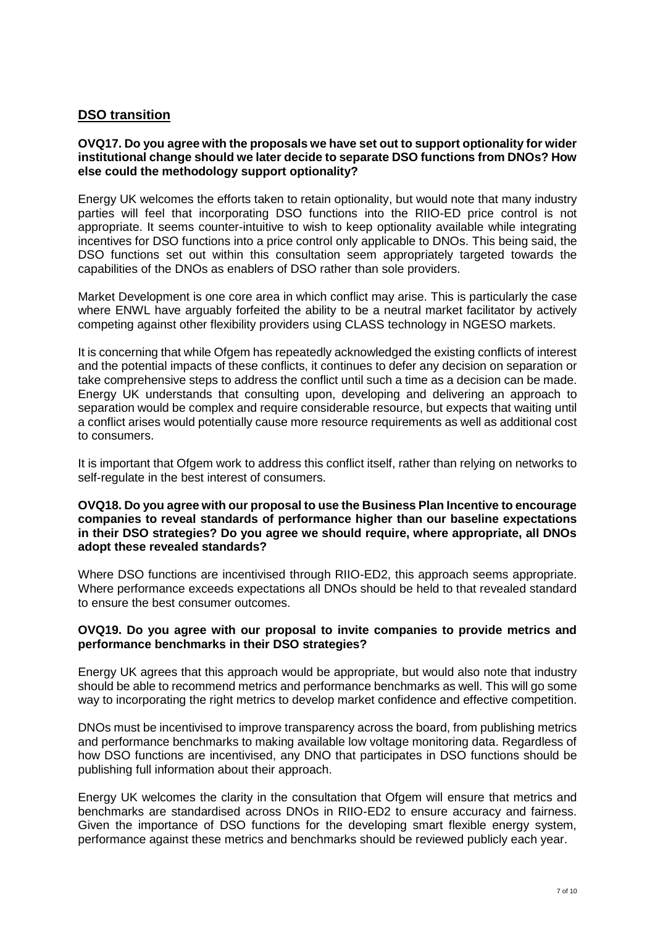# **DSO transition**

## **OVQ17. Do you agree with the proposals we have set out to support optionality for wider institutional change should we later decide to separate DSO functions from DNOs? How else could the methodology support optionality?**

Energy UK welcomes the efforts taken to retain optionality, but would note that many industry parties will feel that incorporating DSO functions into the RIIO-ED price control is not appropriate. It seems counter-intuitive to wish to keep optionality available while integrating incentives for DSO functions into a price control only applicable to DNOs. This being said, the DSO functions set out within this consultation seem appropriately targeted towards the capabilities of the DNOs as enablers of DSO rather than sole providers.

Market Development is one core area in which conflict may arise. This is particularly the case where ENWL have arguably forfeited the ability to be a neutral market facilitator by actively competing against other flexibility providers using CLASS technology in NGESO markets.

It is concerning that while Ofgem has repeatedly acknowledged the existing conflicts of interest and the potential impacts of these conflicts, it continues to defer any decision on separation or take comprehensive steps to address the conflict until such a time as a decision can be made. Energy UK understands that consulting upon, developing and delivering an approach to separation would be complex and require considerable resource, but expects that waiting until a conflict arises would potentially cause more resource requirements as well as additional cost to consumers.

It is important that Ofgem work to address this conflict itself, rather than relying on networks to self-regulate in the best interest of consumers.

#### **OVQ18. Do you agree with our proposal to use the Business Plan Incentive to encourage companies to reveal standards of performance higher than our baseline expectations in their DSO strategies? Do you agree we should require, where appropriate, all DNOs adopt these revealed standards?**

Where DSO functions are incentivised through RIIO-ED2, this approach seems appropriate. Where performance exceeds expectations all DNOs should be held to that revealed standard to ensure the best consumer outcomes.

#### **OVQ19. Do you agree with our proposal to invite companies to provide metrics and performance benchmarks in their DSO strategies?**

Energy UK agrees that this approach would be appropriate, but would also note that industry should be able to recommend metrics and performance benchmarks as well. This will go some way to incorporating the right metrics to develop market confidence and effective competition.

DNOs must be incentivised to improve transparency across the board, from publishing metrics and performance benchmarks to making available low voltage monitoring data. Regardless of how DSO functions are incentivised, any DNO that participates in DSO functions should be publishing full information about their approach.

Energy UK welcomes the clarity in the consultation that Ofgem will ensure that metrics and benchmarks are standardised across DNOs in RIIO-ED2 to ensure accuracy and fairness. Given the importance of DSO functions for the developing smart flexible energy system, performance against these metrics and benchmarks should be reviewed publicly each year.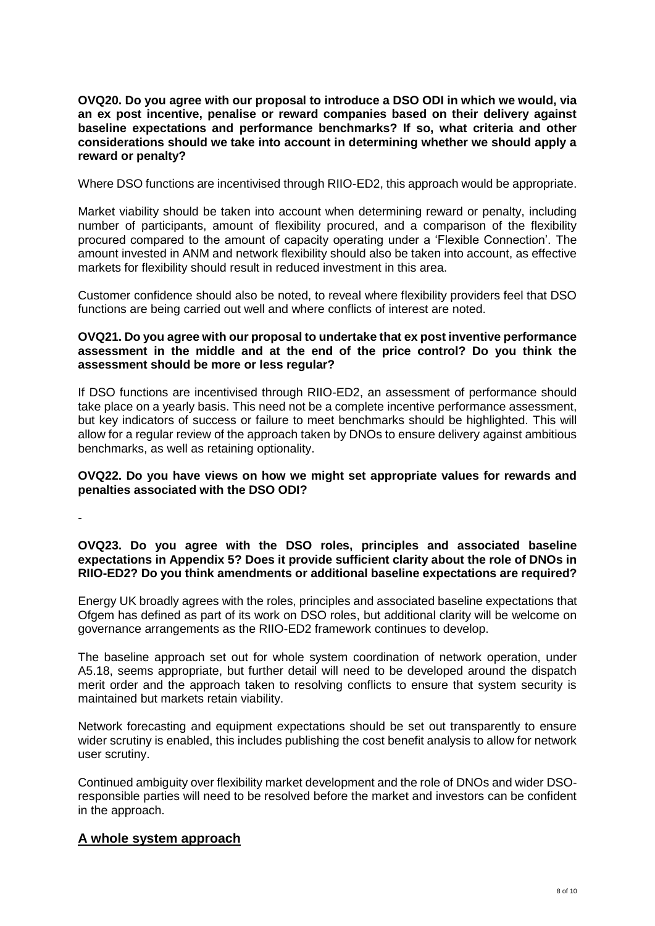**OVQ20. Do you agree with our proposal to introduce a DSO ODI in which we would, via an ex post incentive, penalise or reward companies based on their delivery against baseline expectations and performance benchmarks? If so, what criteria and other considerations should we take into account in determining whether we should apply a reward or penalty?**

Where DSO functions are incentivised through RIIO-ED2, this approach would be appropriate.

Market viability should be taken into account when determining reward or penalty, including number of participants, amount of flexibility procured, and a comparison of the flexibility procured compared to the amount of capacity operating under a 'Flexible Connection'. The amount invested in ANM and network flexibility should also be taken into account, as effective markets for flexibility should result in reduced investment in this area.

Customer confidence should also be noted, to reveal where flexibility providers feel that DSO functions are being carried out well and where conflicts of interest are noted.

## **OVQ21. Do you agree with our proposal to undertake that ex post inventive performance assessment in the middle and at the end of the price control? Do you think the assessment should be more or less regular?**

If DSO functions are incentivised through RIIO-ED2, an assessment of performance should take place on a yearly basis. This need not be a complete incentive performance assessment, but key indicators of success or failure to meet benchmarks should be highlighted. This will allow for a regular review of the approach taken by DNOs to ensure delivery against ambitious benchmarks, as well as retaining optionality.

## **OVQ22. Do you have views on how we might set appropriate values for rewards and penalties associated with the DSO ODI?**

-

## **OVQ23. Do you agree with the DSO roles, principles and associated baseline expectations in Appendix 5? Does it provide sufficient clarity about the role of DNOs in RIIO-ED2? Do you think amendments or additional baseline expectations are required?**

Energy UK broadly agrees with the roles, principles and associated baseline expectations that Ofgem has defined as part of its work on DSO roles, but additional clarity will be welcome on governance arrangements as the RIIO-ED2 framework continues to develop.

The baseline approach set out for whole system coordination of network operation, under A5.18, seems appropriate, but further detail will need to be developed around the dispatch merit order and the approach taken to resolving conflicts to ensure that system security is maintained but markets retain viability.

Network forecasting and equipment expectations should be set out transparently to ensure wider scrutiny is enabled, this includes publishing the cost benefit analysis to allow for network user scrutiny.

Continued ambiguity over flexibility market development and the role of DNOs and wider DSOresponsible parties will need to be resolved before the market and investors can be confident in the approach.

# **A whole system approach**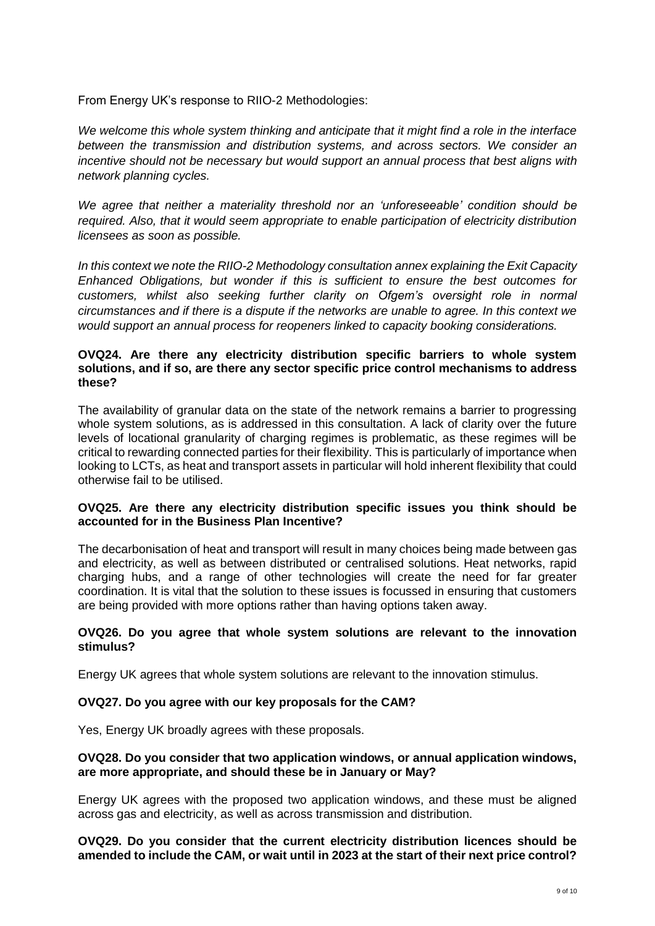From Energy UK's response to RIIO-2 Methodologies:

*We welcome this whole system thinking and anticipate that it might find a role in the interface between the transmission and distribution systems, and across sectors. We consider an incentive should not be necessary but would support an annual process that best aligns with network planning cycles.*

*We agree that neither a materiality threshold nor an 'unforeseeable' condition should be required. Also, that it would seem appropriate to enable participation of electricity distribution licensees as soon as possible.*

*In this context we note the RIIO-2 Methodology consultation annex explaining the Exit Capacity Enhanced Obligations, but wonder if this is sufficient to ensure the best outcomes for customers, whilst also seeking further clarity on Ofgem's oversight role in normal circumstances and if there is a dispute if the networks are unable to agree. In this context we would support an annual process for reopeners linked to capacity booking considerations.* 

## **OVQ24. Are there any electricity distribution specific barriers to whole system solutions, and if so, are there any sector specific price control mechanisms to address these?**

The availability of granular data on the state of the network remains a barrier to progressing whole system solutions, as is addressed in this consultation. A lack of clarity over the future levels of locational granularity of charging regimes is problematic, as these regimes will be critical to rewarding connected parties for their flexibility. This is particularly of importance when looking to LCTs, as heat and transport assets in particular will hold inherent flexibility that could otherwise fail to be utilised.

## **OVQ25. Are there any electricity distribution specific issues you think should be accounted for in the Business Plan Incentive?**

The decarbonisation of heat and transport will result in many choices being made between gas and electricity, as well as between distributed or centralised solutions. Heat networks, rapid charging hubs, and a range of other technologies will create the need for far greater coordination. It is vital that the solution to these issues is focussed in ensuring that customers are being provided with more options rather than having options taken away.

## **OVQ26. Do you agree that whole system solutions are relevant to the innovation stimulus?**

Energy UK agrees that whole system solutions are relevant to the innovation stimulus.

## **OVQ27. Do you agree with our key proposals for the CAM?**

Yes, Energy UK broadly agrees with these proposals.

## **OVQ28. Do you consider that two application windows, or annual application windows, are more appropriate, and should these be in January or May?**

Energy UK agrees with the proposed two application windows, and these must be aligned across gas and electricity, as well as across transmission and distribution.

**OVQ29. Do you consider that the current electricity distribution licences should be amended to include the CAM, or wait until in 2023 at the start of their next price control?**